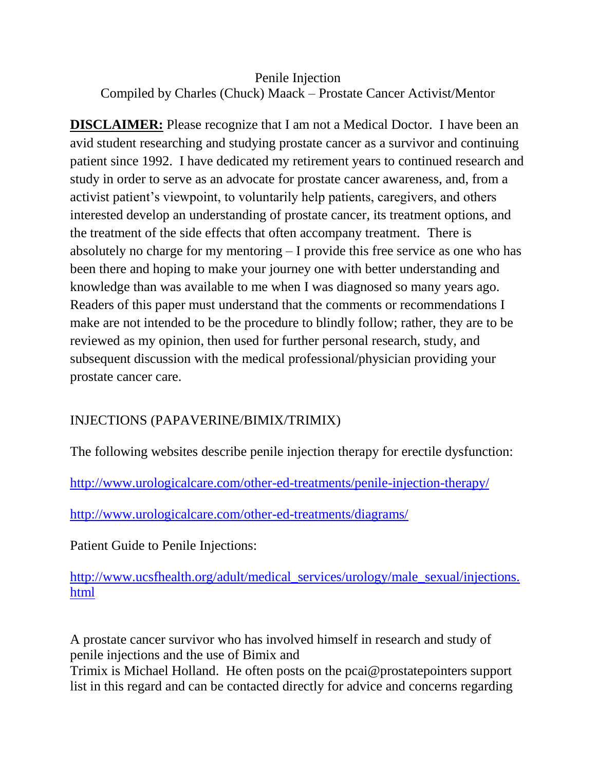## Penile Injection Compiled by Charles (Chuck) Maack – Prostate Cancer Activist/Mentor

**DISCLAIMER:** Please recognize that I am not a Medical Doctor. I have been an avid student researching and studying prostate cancer as a survivor and continuing patient since 1992. I have dedicated my retirement years to continued research and study in order to serve as an advocate for prostate cancer awareness, and, from a activist patient's viewpoint, to voluntarily help patients, caregivers, and others interested develop an understanding of prostate cancer, its treatment options, and the treatment of the side effects that often accompany treatment. There is absolutely no charge for my mentoring – I provide this free service as one who has been there and hoping to make your journey one with better understanding and knowledge than was available to me when I was diagnosed so many years ago. Readers of this paper must understand that the comments or recommendations I make are not intended to be the procedure to blindly follow; rather, they are to be reviewed as my opinion, then used for further personal research, study, and subsequent discussion with the medical professional/physician providing your prostate cancer care.

## INJECTIONS (PAPAVERINE/BIMIX/TRIMIX)

The following websites describe penile injection therapy for erectile dysfunction:

<http://www.urologicalcare.com/other-ed-treatments/penile-injection-therapy/>

<http://www.urologicalcare.com/other-ed-treatments/diagrams/>

Patient Guide to Penile Injections:

[http://www.ucsfhealth.org/adult/medical\\_services/urology/male\\_sexual/injections.](http://www.ucsfhealth.org/adult/medical_services/urology/male_sexual/injections.html) [html](http://www.ucsfhealth.org/adult/medical_services/urology/male_sexual/injections.html)

A prostate cancer survivor who has involved himself in research and study of penile injections and the use of Bimix and

Trimix is Michael Holland. He often posts on the pcai@prostatepointers support list in this regard and can be contacted directly for advice and concerns regarding